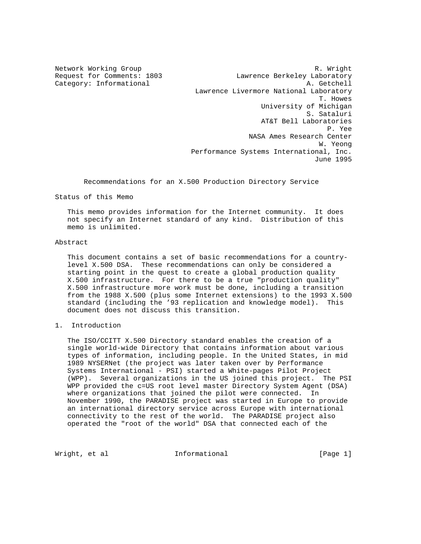Network Working Group and the set of the set of the set of the R. Wright Request for Comments: 1803 Lawrence Berkeley Laboratory Category: Informational and A. Getchell Lawrence Livermore National Laboratory T. Howes University of Michigan S. Sataluri AT&T Bell Laboratories P. Yee NASA Ames Research Center W. Yeong Performance Systems International, Inc. June 1995

Recommendations for an X.500 Production Directory Service

Status of this Memo

 This memo provides information for the Internet community. It does not specify an Internet standard of any kind. Distribution of this memo is unlimited.

## Abstract

 This document contains a set of basic recommendations for a country level X.500 DSA. These recommendations can only be considered a starting point in the quest to create a global production quality X.500 infrastructure. For there to be a true "production quality" X.500 infrastructure more work must be done, including a transition from the 1988 X.500 (plus some Internet extensions) to the 1993 X.500 standard (including the '93 replication and knowledge model). This document does not discuss this transition.

## 1. Introduction

 The ISO/CCITT X.500 Directory standard enables the creation of a single world-wide Directory that contains information about various types of information, including people. In the United States, in mid 1989 NYSERNet (the project was later taken over by Performance Systems International - PSI) started a White-pages Pilot Project (WPP). Several organizations in the US joined this project. The PSI WPP provided the c=US root level master Directory System Agent (DSA) where organizations that joined the pilot were connected. In November 1990, the PARADISE project was started in Europe to provide an international directory service across Europe with international connectivity to the rest of the world. The PARADISE project also operated the "root of the world" DSA that connected each of the

Wright, et al **Informational** [Page 1]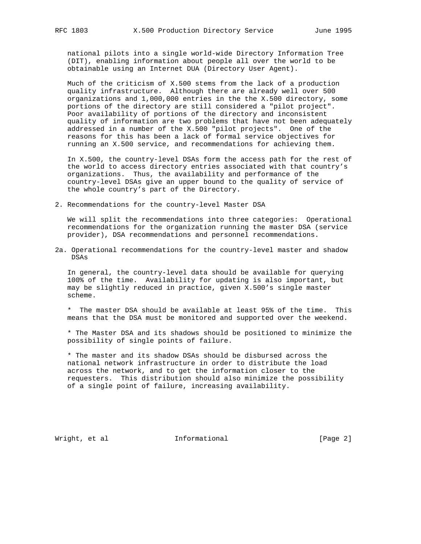national pilots into a single world-wide Directory Information Tree (DIT), enabling information about people all over the world to be obtainable using an Internet DUA (Directory User Agent).

 Much of the criticism of X.500 stems from the lack of a production quality infrastructure. Although there are already well over 500 organizations and 1,000,000 entries in the the X.500 directory, some portions of the directory are still considered a "pilot project". Poor availability of portions of the directory and inconsistent quality of information are two problems that have not been adequately addressed in a number of the X.500 "pilot projects". One of the reasons for this has been a lack of formal service objectives for running an X.500 service, and recommendations for achieving them.

 In X.500, the country-level DSAs form the access path for the rest of the world to access directory entries associated with that country's organizations. Thus, the availability and performance of the country-level DSAs give an upper bound to the quality of service of the whole country's part of the Directory.

2. Recommendations for the country-level Master DSA

 We will split the recommendations into three categories: Operational recommendations for the organization running the master DSA (service provider), DSA recommendations and personnel recommendations.

2a. Operational recommendations for the country-level master and shadow DSAs

 In general, the country-level data should be available for querying 100% of the time. Availability for updating is also important, but may be slightly reduced in practice, given X.500's single master scheme.

 \* The master DSA should be available at least 95% of the time. This means that the DSA must be monitored and supported over the weekend.

 \* The Master DSA and its shadows should be positioned to minimize the possibility of single points of failure.

 \* The master and its shadow DSAs should be disbursed across the national network infrastructure in order to distribute the load across the network, and to get the information closer to the requesters. This distribution should also minimize the possibility of a single point of failure, increasing availability.

Wright, et al **Informational Informational** [Page 2]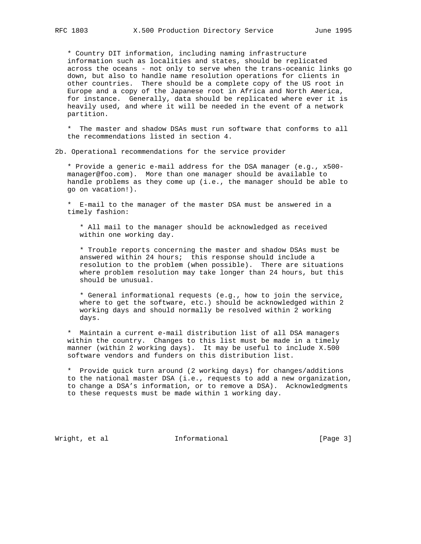\* Country DIT information, including naming infrastructure information such as localities and states, should be replicated across the oceans - not only to serve when the trans-oceanic links go down, but also to handle name resolution operations for clients in other countries. There should be a complete copy of the US root in Europe and a copy of the Japanese root in Africa and North America, for instance. Generally, data should be replicated where ever it is heavily used, and where it will be needed in the event of a network partition.

 \* The master and shadow DSAs must run software that conforms to all the recommendations listed in section 4.

2b. Operational recommendations for the service provider

 \* Provide a generic e-mail address for the DSA manager (e.g., x500 manager@foo.com). More than one manager should be available to handle problems as they come up (i.e., the manager should be able to go on vacation!).

 \* E-mail to the manager of the master DSA must be answered in a timely fashion:

 \* All mail to the manager should be acknowledged as received within one working day.

 \* Trouble reports concerning the master and shadow DSAs must be answered within 24 hours; this response should include a resolution to the problem (when possible). There are situations where problem resolution may take longer than 24 hours, but this should be unusual.

 \* General informational requests (e.g., how to join the service, where to get the software, etc.) should be acknowledged within 2 working days and should normally be resolved within 2 working days.

 \* Maintain a current e-mail distribution list of all DSA managers within the country. Changes to this list must be made in a timely manner (within 2 working days). It may be useful to include X.500 software vendors and funders on this distribution list.

 \* Provide quick turn around (2 working days) for changes/additions to the national master DSA (i.e., requests to add a new organization, to change a DSA's information, or to remove a DSA). Acknowledgments to these requests must be made within 1 working day.

Wright, et al **Informational** [Page 3]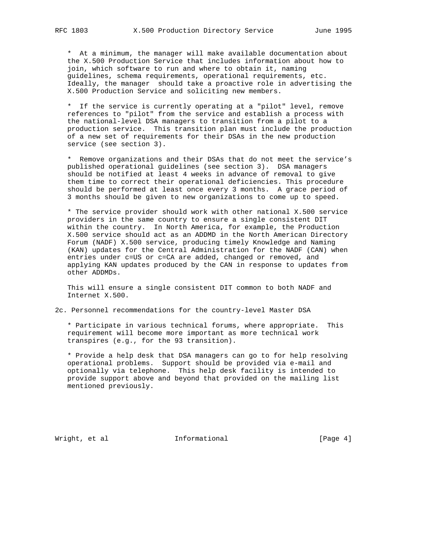\* At a minimum, the manager will make available documentation about the X.500 Production Service that includes information about how to join, which software to run and where to obtain it, naming guidelines, schema requirements, operational requirements, etc. Ideally, the manager should take a proactive role in advertising the X.500 Production Service and soliciting new members.

 \* If the service is currently operating at a "pilot" level, remove references to "pilot" from the service and establish a process with the national-level DSA managers to transition from a pilot to a production service. This transition plan must include the production of a new set of requirements for their DSAs in the new production service (see section 3).

 \* Remove organizations and their DSAs that do not meet the service's published operational guidelines (see section 3). DSA managers should be notified at least 4 weeks in advance of removal to give them time to correct their operational deficiencies. This procedure should be performed at least once every 3 months. A grace period of 3 months should be given to new organizations to come up to speed.

 \* The service provider should work with other national X.500 service providers in the same country to ensure a single consistent DIT within the country. In North America, for example, the Production X.500 service should act as an ADDMD in the North American Directory Forum (NADF) X.500 service, producing timely Knowledge and Naming (KAN) updates for the Central Administration for the NADF (CAN) when entries under c=US or c=CA are added, changed or removed, and applying KAN updates produced by the CAN in response to updates from other ADDMDs.

 This will ensure a single consistent DIT common to both NADF and Internet X.500.

2c. Personnel recommendations for the country-level Master DSA

 \* Participate in various technical forums, where appropriate. This requirement will become more important as more technical work transpires (e.g., for the 93 transition).

 \* Provide a help desk that DSA managers can go to for help resolving operational problems. Support should be provided via e-mail and optionally via telephone. This help desk facility is intended to provide support above and beyond that provided on the mailing list mentioned previously.

Wright, et al **Informational** [Page 4]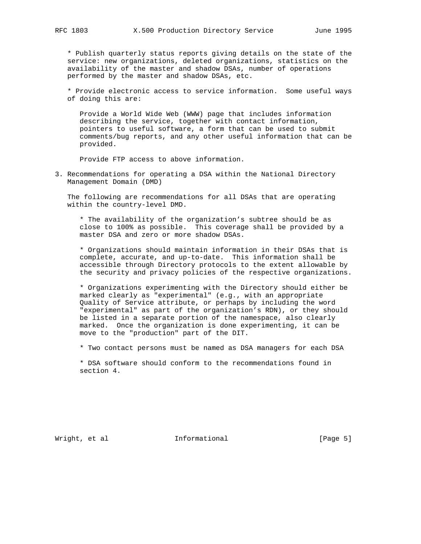\* Publish quarterly status reports giving details on the state of the service: new organizations, deleted organizations, statistics on the availability of the master and shadow DSAs, number of operations performed by the master and shadow DSAs, etc.

 \* Provide electronic access to service information. Some useful ways of doing this are:

 Provide a World Wide Web (WWW) page that includes information describing the service, together with contact information, pointers to useful software, a form that can be used to submit comments/bug reports, and any other useful information that can be provided.

Provide FTP access to above information.

3. Recommendations for operating a DSA within the National Directory Management Domain (DMD)

 The following are recommendations for all DSAs that are operating within the country-level DMD.

 \* The availability of the organization's subtree should be as close to 100% as possible. This coverage shall be provided by a master DSA and zero or more shadow DSAs.

 \* Organizations should maintain information in their DSAs that is complete, accurate, and up-to-date. This information shall be accessible through Directory protocols to the extent allowable by the security and privacy policies of the respective organizations.

 \* Organizations experimenting with the Directory should either be marked clearly as "experimental" (e.g., with an appropriate Quality of Service attribute, or perhaps by including the word "experimental" as part of the organization's RDN), or they should be listed in a separate portion of the namespace, also clearly marked. Once the organization is done experimenting, it can be move to the "production" part of the DIT.

\* Two contact persons must be named as DSA managers for each DSA

 \* DSA software should conform to the recommendations found in section 4.

Wright, et al **Informational** [Page 5]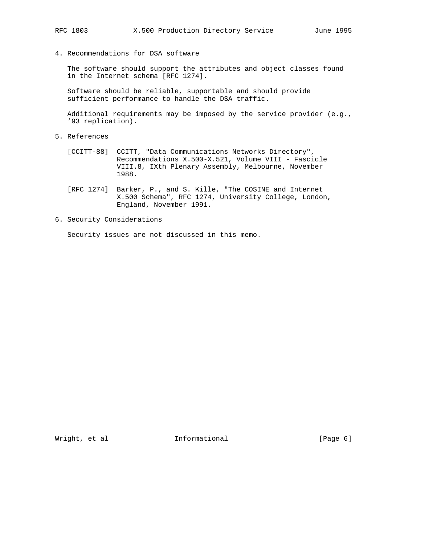4. Recommendations for DSA software

 The software should support the attributes and object classes found in the Internet schema [RFC 1274].

 Software should be reliable, supportable and should provide sufficient performance to handle the DSA traffic.

 Additional requirements may be imposed by the service provider (e.g., '93 replication).

- 5. References
	- [CCITT-88] CCITT, "Data Communications Networks Directory", Recommendations X.500-X.521, Volume VIII - Fascicle VIII.8, IXth Plenary Assembly, Melbourne, November 1988.
	- [RFC 1274] Barker, P., and S. Kille, "The COSINE and Internet X.500 Schema", RFC 1274, University College, London, England, November 1991.
- 6. Security Considerations

Security issues are not discussed in this memo.

Wright, et al **Informational** [Page 6]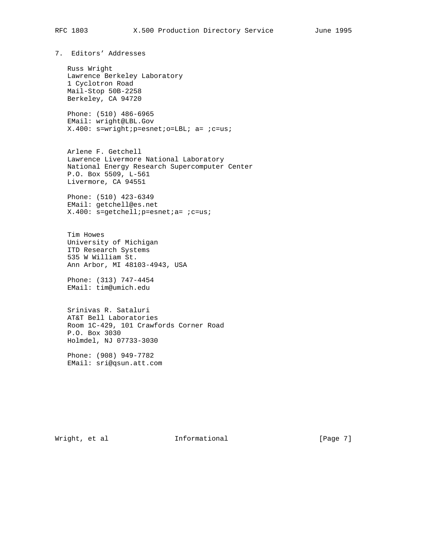## 7. Editors' Addresses

 Russ Wright Lawrence Berkeley Laboratory 1 Cyclotron Road Mail-Stop 50B-2258 Berkeley, CA 94720

 Phone: (510) 486-6965 EMail: wright@LBL.Gov X.400: s=wright;p=esnet;o=LBL; a= ;c=us;

 Arlene F. Getchell Lawrence Livermore National Laboratory National Energy Research Supercomputer Center P.O. Box 5509, L-561 Livermore, CA 94551

 Phone: (510) 423-6349 EMail: getchell@es.net X.400: s=getchell;p=esnet;a= ;c=us;

 Tim Howes University of Michigan ITD Research Systems 535 W William St. Ann Arbor, MI 48103-4943, USA

 Phone: (313) 747-4454 EMail: tim@umich.edu

 Srinivas R. Sataluri AT&T Bell Laboratories Room 1C-429, 101 Crawfords Corner Road P.O. Box 3030 Holmdel, NJ 07733-3030

 Phone: (908) 949-7782 EMail: sri@qsun.att.com

Wright, et al **Informational** [Page 7]